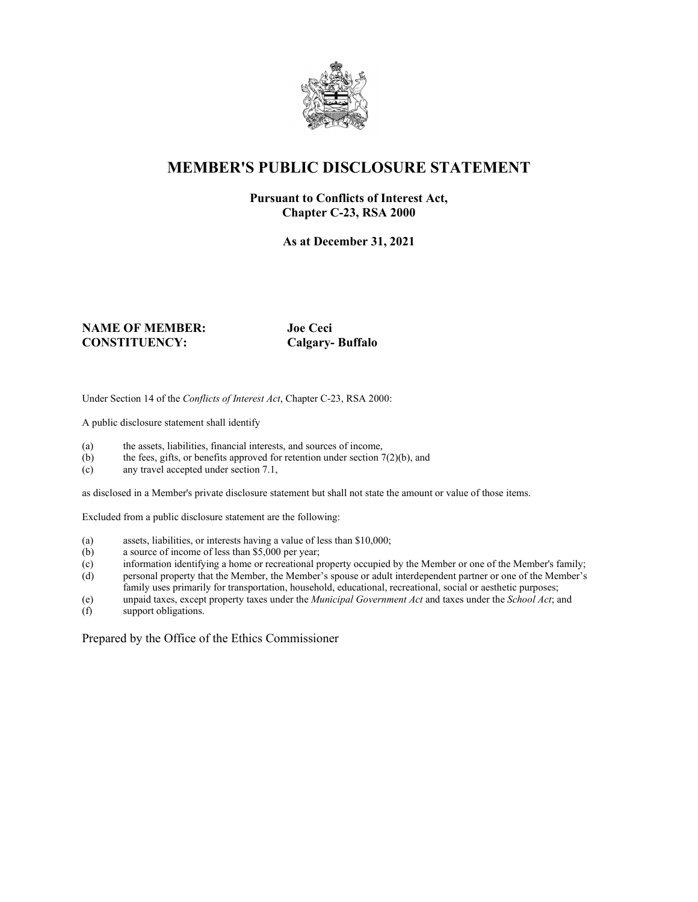

# **MEMBER'S PUBLIC DISCLOSURE STATEMENT**

#### **Pursuant to Conflicts of Interest Act, Chapter C-23, RSA 2000**

**As at December 31, 2021**

#### **NAME OF MEMBER: Joe Ceci CONSTITUENCY: Calgary- Buffalo**

Under Section 14 of the *Conflicts of Interest Act*, Chapter C-23, RSA 2000:

A public disclosure statement shall identify

- (a) the assets, liabilities, financial interests, and sources of income,
- (b) the fees, gifts, or benefits approved for retention under section  $7(2)(b)$ , and
- (c) any travel accepted under section 7.1,

as disclosed in a Member's private disclosure statement but shall not state the amount or value of those items.

Excluded from a public disclosure statement are the following:

- (a) assets, liabilities, or interests having a value of less than \$10,000;
- (b) a source of income of less than \$5,000 per year;
- (c) information identifying a home or recreational property occupied by the Member or one of the Member's family;
- (d) personal property that the Member, the Member's spouse or adult interdependent partner or one of the Member's family uses primarily for transportation, household, educational, recreational, social or aesthetic purposes;
- (e) unpaid taxes, except property taxes under the *Municipal Government Act* and taxes under the *School Act*; and
- support obligations.

Prepared by the Office of the Ethics Commissioner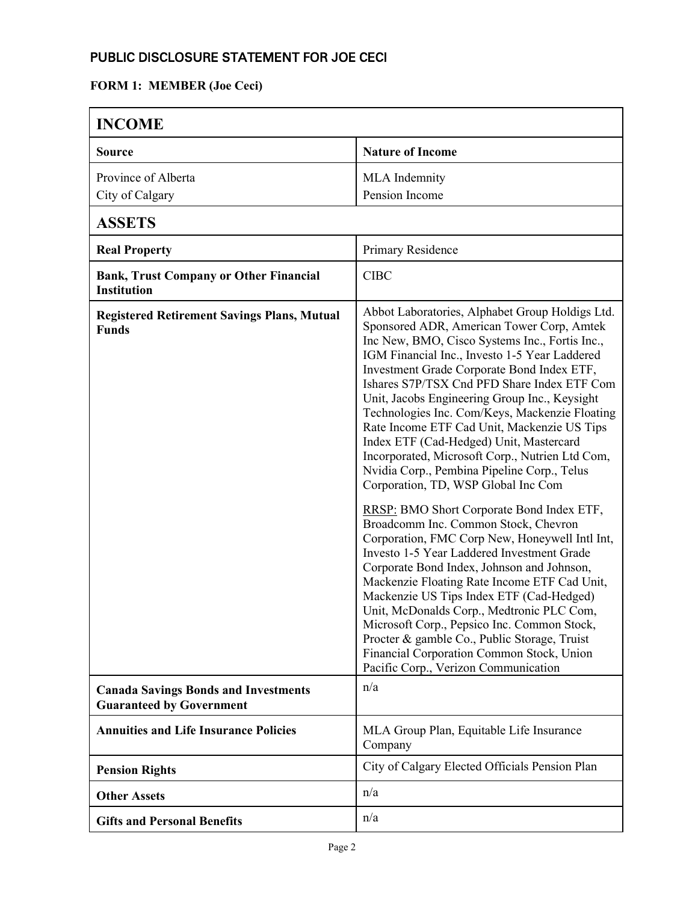### PUBLIC DISCLOSURE STATEMENT FOR JOE CECI

#### **FORM 1: MEMBER (Joe Ceci)**

| <b>INCOME</b>                                                                  |                                                                                                                                                                                                                                                                                                                                                                                                                                                                                                                                                                                                                                                                                                                                                                                                                                                                                                                                                                                                                                                                                                                                                                                                    |
|--------------------------------------------------------------------------------|----------------------------------------------------------------------------------------------------------------------------------------------------------------------------------------------------------------------------------------------------------------------------------------------------------------------------------------------------------------------------------------------------------------------------------------------------------------------------------------------------------------------------------------------------------------------------------------------------------------------------------------------------------------------------------------------------------------------------------------------------------------------------------------------------------------------------------------------------------------------------------------------------------------------------------------------------------------------------------------------------------------------------------------------------------------------------------------------------------------------------------------------------------------------------------------------------|
| Source                                                                         | <b>Nature of Income</b>                                                                                                                                                                                                                                                                                                                                                                                                                                                                                                                                                                                                                                                                                                                                                                                                                                                                                                                                                                                                                                                                                                                                                                            |
| Province of Alberta<br>City of Calgary                                         | MLA Indemnity<br>Pension Income                                                                                                                                                                                                                                                                                                                                                                                                                                                                                                                                                                                                                                                                                                                                                                                                                                                                                                                                                                                                                                                                                                                                                                    |
| <b>ASSETS</b>                                                                  |                                                                                                                                                                                                                                                                                                                                                                                                                                                                                                                                                                                                                                                                                                                                                                                                                                                                                                                                                                                                                                                                                                                                                                                                    |
| <b>Real Property</b>                                                           | Primary Residence                                                                                                                                                                                                                                                                                                                                                                                                                                                                                                                                                                                                                                                                                                                                                                                                                                                                                                                                                                                                                                                                                                                                                                                  |
| <b>Bank, Trust Company or Other Financial</b><br><b>Institution</b>            | <b>CIBC</b>                                                                                                                                                                                                                                                                                                                                                                                                                                                                                                                                                                                                                                                                                                                                                                                                                                                                                                                                                                                                                                                                                                                                                                                        |
| <b>Registered Retirement Savings Plans, Mutual</b><br><b>Funds</b>             | Abbot Laboratories, Alphabet Group Holdigs Ltd.<br>Sponsored ADR, American Tower Corp, Amtek<br>Inc New, BMO, Cisco Systems Inc., Fortis Inc.,<br>IGM Financial Inc., Investo 1-5 Year Laddered<br>Investment Grade Corporate Bond Index ETF,<br>Ishares S7P/TSX Cnd PFD Share Index ETF Com<br>Unit, Jacobs Engineering Group Inc., Keysight<br>Technologies Inc. Com/Keys, Mackenzie Floating<br>Rate Income ETF Cad Unit, Mackenzie US Tips<br>Index ETF (Cad-Hedged) Unit, Mastercard<br>Incorporated, Microsoft Corp., Nutrien Ltd Com,<br>Nvidia Corp., Pembina Pipeline Corp., Telus<br>Corporation, TD, WSP Global Inc Com<br>RRSP: BMO Short Corporate Bond Index ETF,<br>Broadcomm Inc. Common Stock, Chevron<br>Corporation, FMC Corp New, Honeywell Intl Int,<br>Investo 1-5 Year Laddered Investment Grade<br>Corporate Bond Index, Johnson and Johnson,<br>Mackenzie Floating Rate Income ETF Cad Unit,<br>Mackenzie US Tips Index ETF (Cad-Hedged)<br>Unit, McDonalds Corp., Medtronic PLC Com,<br>Microsoft Corp., Pepsico Inc. Common Stock,<br>Procter & gamble Co., Public Storage, Truist<br>Financial Corporation Common Stock, Union<br>Pacific Corp., Verizon Communication |
| <b>Canada Savings Bonds and Investments</b><br><b>Guaranteed by Government</b> | n/a                                                                                                                                                                                                                                                                                                                                                                                                                                                                                                                                                                                                                                                                                                                                                                                                                                                                                                                                                                                                                                                                                                                                                                                                |
| <b>Annuities and Life Insurance Policies</b>                                   | MLA Group Plan, Equitable Life Insurance<br>Company                                                                                                                                                                                                                                                                                                                                                                                                                                                                                                                                                                                                                                                                                                                                                                                                                                                                                                                                                                                                                                                                                                                                                |
| <b>Pension Rights</b>                                                          | City of Calgary Elected Officials Pension Plan                                                                                                                                                                                                                                                                                                                                                                                                                                                                                                                                                                                                                                                                                                                                                                                                                                                                                                                                                                                                                                                                                                                                                     |
| <b>Other Assets</b>                                                            | n/a                                                                                                                                                                                                                                                                                                                                                                                                                                                                                                                                                                                                                                                                                                                                                                                                                                                                                                                                                                                                                                                                                                                                                                                                |
| <b>Gifts and Personal Benefits</b>                                             | n/a                                                                                                                                                                                                                                                                                                                                                                                                                                                                                                                                                                                                                                                                                                                                                                                                                                                                                                                                                                                                                                                                                                                                                                                                |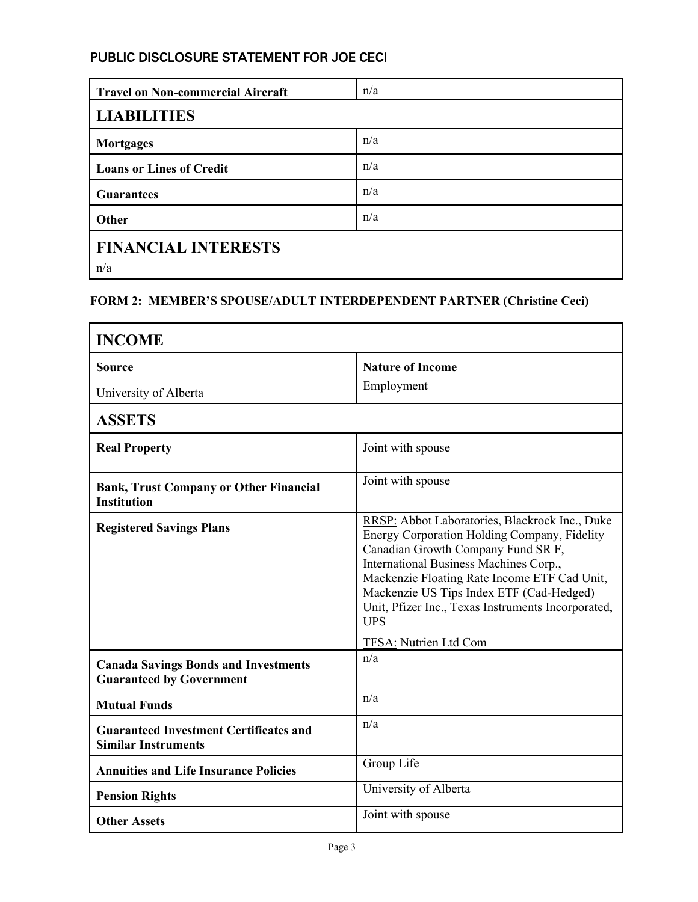## PUBLIC DISCLOSURE STATEMENT FOR JOE CECI

| <b>Travel on Non-commercial Aircraft</b> | n/a |  |
|------------------------------------------|-----|--|
| <b>LIABILITIES</b>                       |     |  |
| <b>Mortgages</b>                         | n/a |  |
| <b>Loans or Lines of Credit</b>          | n/a |  |
| <b>Guarantees</b>                        | n/a |  |
| Other                                    | n/a |  |
| <b>FINANCIAL INTERESTS</b>               |     |  |
| n/a                                      |     |  |

#### **FORM 2: MEMBER'S SPOUSE/ADULT INTERDEPENDENT PARTNER (Christine Ceci)**

| <b>INCOME</b>                                                                  |                                                                                                                                                                                                                                                                                                                                                |  |
|--------------------------------------------------------------------------------|------------------------------------------------------------------------------------------------------------------------------------------------------------------------------------------------------------------------------------------------------------------------------------------------------------------------------------------------|--|
| Source                                                                         | <b>Nature of Income</b>                                                                                                                                                                                                                                                                                                                        |  |
| University of Alberta                                                          | Employment                                                                                                                                                                                                                                                                                                                                     |  |
| <b>ASSETS</b>                                                                  |                                                                                                                                                                                                                                                                                                                                                |  |
| <b>Real Property</b>                                                           | Joint with spouse                                                                                                                                                                                                                                                                                                                              |  |
| <b>Bank, Trust Company or Other Financial</b><br><b>Institution</b>            | Joint with spouse                                                                                                                                                                                                                                                                                                                              |  |
| <b>Registered Savings Plans</b>                                                | RRSP: Abbot Laboratories, Blackrock Inc., Duke<br>Energy Corporation Holding Company, Fidelity<br>Canadian Growth Company Fund SR F,<br>International Business Machines Corp.,<br>Mackenzie Floating Rate Income ETF Cad Unit,<br>Mackenzie US Tips Index ETF (Cad-Hedged)<br>Unit, Pfizer Inc., Texas Instruments Incorporated,<br><b>UPS</b> |  |
| <b>Canada Savings Bonds and Investments</b><br><b>Guaranteed by Government</b> | TFSA: Nutrien Ltd Com<br>n/a                                                                                                                                                                                                                                                                                                                   |  |
| <b>Mutual Funds</b>                                                            | n/a                                                                                                                                                                                                                                                                                                                                            |  |
| <b>Guaranteed Investment Certificates and</b><br><b>Similar Instruments</b>    | n/a                                                                                                                                                                                                                                                                                                                                            |  |
| <b>Annuities and Life Insurance Policies</b>                                   | Group Life                                                                                                                                                                                                                                                                                                                                     |  |
| <b>Pension Rights</b>                                                          | University of Alberta                                                                                                                                                                                                                                                                                                                          |  |
| <b>Other Assets</b>                                                            | Joint with spouse                                                                                                                                                                                                                                                                                                                              |  |